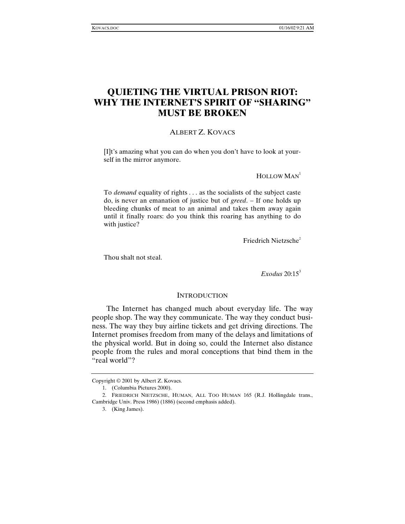# **QUIETING THE VIRTUAL PRISON RIOT: WHY THE INTERNET'S SPIRIT OF "SHARING" MUST BE BROKEN**

# ALBERT Z. KOVACS

[I]t's amazing what you can do when you don't have to look at yourself in the mirror anymore.

HOLLOW MAN<sup>1</sup>

To *demand* equality of rights . . . as the socialists of the subject caste do, is never an emanation of justice but of *greed*. – If one holds up bleeding chunks of meat to an animal and takes them away again until it finally roars: do you think this roaring has anything to do with justice?

Friedrich Nietzsche<sup>2</sup>

Thou shalt not steal.

*Exodus* 20:15<sup>3</sup>

# **INTRODUCTION**

The Internet has changed much about everyday life. The way people shop. The way they communicate. The way they conduct business. The way they buy airline tickets and get driving directions. The Internet promises freedom from many of the delays and limitations of the physical world. But in doing so, could the Internet also distance people from the rules and moral conceptions that bind them in the "real world"?

Copyright © 2001 by Albert Z. Kovacs.

<sup>1. (</sup>Columbia Pictures 2000).

<sup>2.</sup> FRIEDRICH NIETZSCHE, HUMAN, ALL TOO HUMAN 165 (R.J. Hollingdale trans., Cambridge Univ. Press 1986) (1886) (second emphasis added).

<sup>3. (</sup>King James).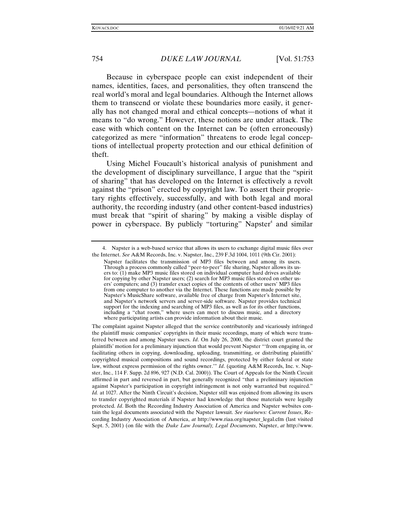Because in cyberspace people can exist independent of their names, identities, faces, and personalities, they often transcend the real world's moral and legal boundaries. Although the Internet allows them to transcend or violate these boundaries more easily, it generally has not changed moral and ethical concepts—notions of what it means to "do wrong." However, these notions are under attack. The ease with which content on the Internet can be (often erroneously) categorized as mere "information" threatens to erode legal conceptions of intellectual property protection and our ethical definition of theft.

Using Michel Foucault's historical analysis of punishment and the development of disciplinary surveillance, I argue that the "spirit of sharing" that has developed on the Internet is effectively a revolt against the "prison" erected by copyright law. To assert their proprietary rights effectively, successfully, and with both legal and moral authority, the recording industry (and other content-based industries) must break that "spirit of sharing" by making a visible display of power in cyberspace. By publicly "torturing" Napster<sup>4</sup> and similar

The complaint against Napster alleged that the service contributorily and vicariously infringed the plaintiff music companies' copyrights in their music recordings, many of which were transferred between and among Napster users. *Id*. On July 26, 2000, the district court granted the plaintiffs' motion for a preliminary injunction that would prevent Napster "'from engaging in, or facilitating others in copying, downloading, uploading, transmitting, or distributing plaintiffs' copyrighted musical compositions and sound recordings, protected by either federal or state law, without express permission of the rights owner.'" *Id*. (quoting A&M Records, Inc. v. Napster, Inc., 114 F. Supp. 2d 896, 927 (N.D. Cal. 2000)). The Court of Appeals for the Ninth Circuit affirmed in part and reversed in part, but generally recognized "that a preliminary injunction against Napster's participation in copyright infringement is not only warranted but required." *Id.* at 1027. After the Ninth Circuit's decision, Napster still was enjoined from allowing its users to transfer copyrighted materials if Napster had knowledge that those materials were legally protected. *Id*. Both the Recording Industry Association of America and Napster websites contain the legal documents associated with the Napster lawsuit. *See riaa/news: Current Issues*, Recording Industry Association of America, *at* http://www.riaa.org/napster\_legal.cfm (last visited Sept. 5, 2001) (on file with the *Duke Law Journal*); *Legal Documents*, Napster, *at* http://www.

<sup>4.</sup> Napster is a web-based service that allows its users to exchange digital music files over the Internet. *See* A&M Records, Inc. v. Napster, Inc., 239 F.3d 1004, 1011 (9th Cir. 2001):

Napster facilitates the transmission of MP3 files between and among its users. Through a process commonly called "peer-to-peer" file sharing, Napster allows its users to: (1) make MP3 music files stored on individual computer hard drives available for copying by other Napster users; (2) search for MP3 music files stored on other users' computers; and (3) transfer exact copies of the contents of other users' MP3 files from one computer to another via the Internet. These functions are made possible by Napster's MusicShare software, available free of charge from Napster's Internet site, and Napster's network servers and server-side software. Napster provides technical support for the indexing and searching of MP3 files, as well as for its other functions, including a "chat room," where users can meet to discuss music, and a directory where participating artists can provide information about their music.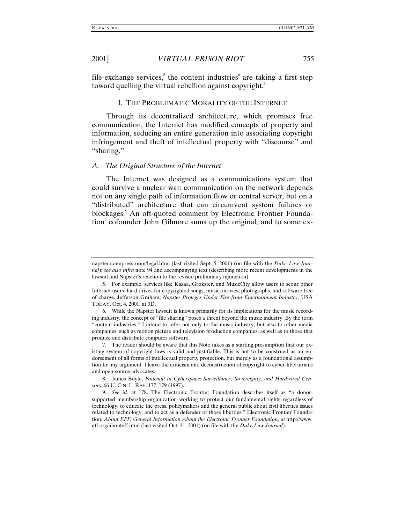file-exchange services,<sup>5</sup> the content industries<sup>6</sup> are taking a first step toward quelling the virtual rebellion against copyright.<sup>7</sup>

#### I. THE PROBLEMATIC MORALITY OF THE INTERNET

Through its decentralized architecture, which promises free communication, the Internet has modified concepts of property and information, seducing an entire generation into associating copyright infringement and theft of intellectual property with "discourse" and "sharing."

# *A. The Original Structure of the Internet*

The Internet was designed as a communications system that could survive a nuclear war; communication on the network depends not on any single path of information flow or central server, but on a "distributed" architecture that can circumvent system failures or blockages.<sup>8</sup> An oft-quoted comment by Electronic Frontier Foundation<sup>9</sup> cofounder John Gilmore sums up the original, and to some ex-

7. The reader should be aware that this Note takes as a starting presumption that our existing system of copyright laws is valid and justifiable. This is not to be construed as an endorsement of all forms of intellectual property protection, but merely as a foundational assumption for my argument. I leave the criticism and deconstruction of copyright to cyber-libertarians and open-source advocates.

8. James Boyle, *Foucault in Cyberspace: Surveillance, Sovereignty, and Hardwired Censors*, 66 U. CIN. L. REV. 177, 179 (1997).

napster.com/pressroom/legal.html (last visited Sept. 5, 2001) (on file with the *Duke Law Journal*); *see also infra* note 94 and accompanying text (describing more recent developments in the lawsuit and Napster's reaction to the revised preliminary injunction).

<sup>5.</sup> For example, services like Kazaa, Grokster, and MusicCity allow users to scour other Internet users' hard drives for copyrighted songs, music, movies, photographs, and software free of charge. Jefferson Graham, *Napster Proteges Under Fire from Entertainment Industry*, USA TODAY, Oct. 4, 2001, at 3D.

<sup>6.</sup> While the Napster lawsuit is known primarily for its implications for the music recording industry, the concept of "file sharing" poses a threat beyond the music industry. By the term "content industries," I intend to refer not only to the music industry, but also to other media companies, such as motion picture and television production companies, as well as to those that produce and distribute computer software.

<sup>9.</sup> *See id.* at 178. The Electronic Frontier Foundation describes itself as "a donorsupported membership organization working to protect our fundamental rights regardless of technology; to educate the press, policymakers and the general public about civil liberties issues related to technology; and to act as a defender of those liberties." Electronic Frontier Foundation, *About EFF: General Information About the Electronic Frontier Foundation*, *at* http://www. eff.org/abouteff.html (last visited Oct. 31, 2001) (on file with the *Duke Law Journal*).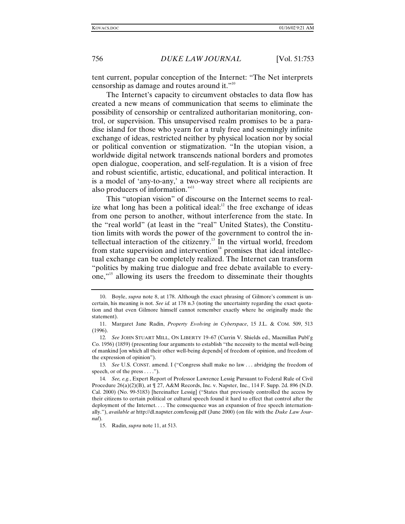tent current, popular conception of the Internet: "The Net interprets censorship as damage and routes around it."<sup>10</sup>

The Internet's capacity to circumvent obstacles to data flow has created a new means of communication that seems to eliminate the possibility of censorship or centralized authoritarian monitoring, control, or supervision. This unsupervised realm promises to be a paradise island for those who yearn for a truly free and seemingly infinite exchange of ideas, restricted neither by physical location nor by social or political convention or stigmatization. "In the utopian vision, a worldwide digital network transcends national borders and promotes open dialogue, cooperation, and self-regulation. It is a vision of free and robust scientific, artistic, educational, and political interaction. It is a model of 'any-to-any,' a two-way street where all recipients are also producers of information."<sup>11</sup>

This "utopian vision" of discourse on the Internet seems to realize what long has been a political ideal: $^{12}$  the free exchange of ideas from one person to another, without interference from the state. In the "real world" (at least in the "real" United States), the Constitution limits with words the power of the government to control the intellectual interaction of the citizenry.13 In the virtual world, freedom from state supervision and intervention $14$  promises that ideal intellectual exchange can be completely realized. The Internet can transform "politics by making true dialogue and free debate available to everyone,"15 allowing its users the freedom to disseminate their thoughts

<sup>10.</sup> Boyle, *supra* note 8, at 178. Although the exact phrasing of Gilmore's comment is uncertain, his meaning is not. *See id.* at 178 n.3 (noting the uncertainty regarding the exact quotation and that even Gilmore himself cannot remember exactly where he originally made the statement).

<sup>11.</sup> Margaret Jane Radin, *Property Evolving in Cyberspace*, 15 J.L. & COM. 509, 513 (1996).

<sup>12</sup>*. See* JOHN STUART MILL, ON LIBERTY 19–67 (Currin V. Shields ed., Macmillan Publ'g Co. 1956) (1859) (presenting four arguments to establish "the necessity to the mental well-being of mankind [on which all their other well-being depends] of freedom of opinion, and freedom of the expression of opinion").

<sup>13</sup>*. See* U.S. CONST. amend. I ("Congress shall make no law . . . abridging the freedom of speech, or of the press . . . .").

<sup>14</sup>*. See, e.g.*, Expert Report of Professor Lawrence Lessig Pursuant to Federal Rule of Civil Procedure  $26(a)(2)(B)$ , at  $\P$  27, A&M Records, Inc. v. Napster, Inc., 114 F. Supp. 2d. 896 (N.D. Cal. 2000) (No. 99-5183) [hereinafter Lessig] ("States that previously controlled the access by their citizens to certain political or cultural speech found it hard to effect that control after the deployment of the Internet. . . . The consequence was an expansion of free speech internationally."), *available at* http://dl.napster.com/lessig.pdf (June 2000) (on file with the *Duke Law Journal*).

<sup>15.</sup> Radin, *supra* note 11, at 513.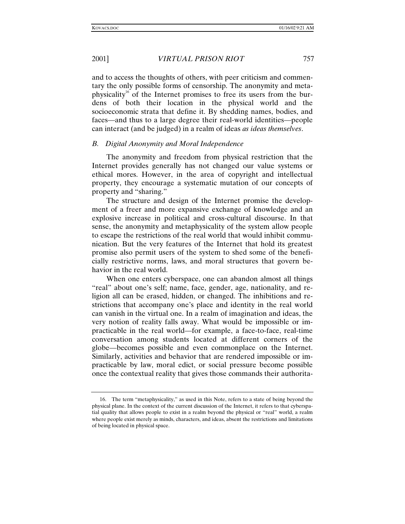and to access the thoughts of others, with peer criticism and commentary the only possible forms of censorship. The anonymity and metaphysicality<sup>16</sup> of the Internet promises to free its users from the burdens of both their location in the physical world and the socioeconomic strata that define it. By shedding names, bodies, and faces—and thus to a large degree their real-world identities—people can interact (and be judged) in a realm of ideas *as ideas themselves*.

# *B. Digital Anonymity and Moral Independence*

The anonymity and freedom from physical restriction that the Internet provides generally has not changed our value systems or ethical mores. However, in the area of copyright and intellectual property, they encourage a systematic mutation of our concepts of property and "sharing."

The structure and design of the Internet promise the development of a freer and more expansive exchange of knowledge and an explosive increase in political and cross-cultural discourse. In that sense, the anonymity and metaphysicality of the system allow people to escape the restrictions of the real world that would inhibit communication. But the very features of the Internet that hold its greatest promise also permit users of the system to shed some of the beneficially restrictive norms, laws, and moral structures that govern behavior in the real world.

When one enters cyberspace, one can abandon almost all things "real" about one's self; name, face, gender, age, nationality, and religion all can be erased, hidden, or changed. The inhibitions and restrictions that accompany one's place and identity in the real world can vanish in the virtual one. In a realm of imagination and ideas, the very notion of reality falls away. What would be impossible or impracticable in the real world—for example, a face-to-face, real-time conversation among students located at different corners of the globe—becomes possible and even commonplace on the Internet. Similarly, activities and behavior that are rendered impossible or impracticable by law, moral edict, or social pressure become possible once the contextual reality that gives those commands their authorita-

<sup>16.</sup> The term "metaphysicality," as used in this Note, refers to a state of being beyond the physical plane. In the context of the current discussion of the Internet, it refers to that cyberspatial quality that allows people to exist in a realm beyond the physical or "real" world, a realm where people exist merely as minds, characters, and ideas, absent the restrictions and limitations of being located in physical space.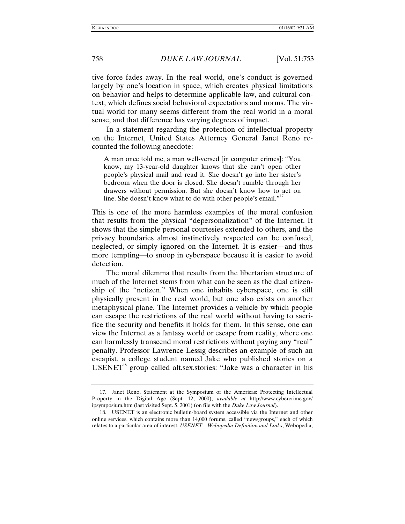tive force fades away. In the real world, one's conduct is governed largely by one's location in space, which creates physical limitations on behavior and helps to determine applicable law, and cultural context, which defines social behavioral expectations and norms. The virtual world for many seems different from the real world in a moral sense, and that difference has varying degrees of impact.

In a statement regarding the protection of intellectual property on the Internet, United States Attorney General Janet Reno recounted the following anecdote:

A man once told me, a man well-versed [in computer crimes]: "You know, my 13-year-old daughter knows that she can't open other people's physical mail and read it. She doesn't go into her sister's bedroom when the door is closed. She doesn't rumble through her drawers without permission. But she doesn't know how to act on line. She doesn't know what to do with other people's email."<sup>17</sup>

This is one of the more harmless examples of the moral confusion that results from the physical "depersonalization" of the Internet. It shows that the simple personal courtesies extended to others, and the privacy boundaries almost instinctively respected can be confused, neglected, or simply ignored on the Internet. It is easier—and thus more tempting—to snoop in cyberspace because it is easier to avoid detection.

The moral dilemma that results from the libertarian structure of much of the Internet stems from what can be seen as the dual citizenship of the "netizen." When one inhabits cyberspace, one is still physically present in the real world, but one also exists on another metaphysical plane. The Internet provides a vehicle by which people can escape the restrictions of the real world without having to sacrifice the security and benefits it holds for them. In this sense, one can view the Internet as a fantasy world or escape from reality, where one can harmlessly transcend moral restrictions without paying any "real" penalty. Professor Lawrence Lessig describes an example of such an escapist, a college student named Jake who published stories on a USENET<sup>18</sup> group called alt.sex.stories: "Jake was a character in his

<sup>17.</sup> Janet Reno, Statement at the Symposium of the Americas: Protecting Intellectual Property in the Digital Age (Sept. 12, 2000), *available at* http://www.cybercrime.gov/ ipsymposium.htm (last visited Sept. 5, 2001) (on file with the *Duke Law Journal*).

<sup>18.</sup> USENET is an electronic bulletin-board system accessible via the Internet and other online services, which contains more than 14,000 forums, called "newsgroups," each of which relates to a particular area of interest. *USENET—Webopedia Definition and Links*, Webopedia,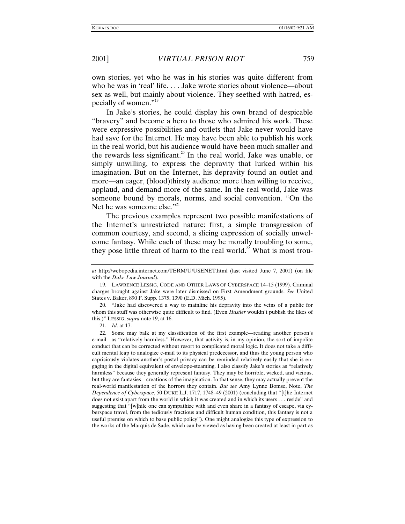own stories, yet who he was in his stories was quite different from who he was in 'real' life. . . . Jake wrote stories about violence—about sex as well, but mainly about violence. They seethed with hatred, especially of women."<sup>19</sup>

In Jake's stories, he could display his own brand of despicable "bravery" and become a hero to those who admired his work. These were expressive possibilities and outlets that Jake never would have had save for the Internet. He may have been able to publish his work in the real world, but his audience would have been much smaller and the rewards less significant.<sup>20</sup> In the real world, Jake was unable, or simply unwilling, to express the depravity that lurked within his imagination. But on the Internet, his depravity found an outlet and more—an eager, (blood)thirsty audience more than willing to receive, applaud, and demand more of the same. In the real world, Jake was someone bound by morals, norms, and social convention. "On the Net he was someone else."<sup>21</sup>

The previous examples represent two possible manifestations of the Internet's unrestricted nature: first, a simple transgression of common courtesy, and second, a slicing expression of socially unwelcome fantasy. While each of these may be morally troubling to some, they pose little threat of harm to the real world.<sup>22</sup> What is most trou-

*at* http://webopedia.internet.com/TERM/U/USENET.html (last visited June 7, 2001) (on file with the *Duke Law Journal*).

<sup>19.</sup> LAWRENCE LESSIG, CODE AND OTHER LAWS OF CYBERSPACE 14–15 (1999). Criminal charges brought against Jake were later dismissed on First Amendment grounds. *See* United States v. Baker, 890 F. Supp. 1375, 1390 (E.D. Mich. 1995).

<sup>20.</sup> "Jake had discovered a way to mainline his depravity into the veins of a public for whom this stuff was otherwise quite difficult to find. (Even *Hustler* wouldn't publish the likes of this.)" LESSIG, *supra* note 19, at 16.

<sup>21</sup>*. Id*. at 17.

<sup>22.</sup> Some may balk at my classification of the first example—reading another person's e-mail—as "relatively harmless." However, that activity is, in my opinion, the sort of impolite conduct that can be corrected without resort to complicated moral logic. It does not take a difficult mental leap to analogize e-mail to its physical predecessor, and thus the young person who capriciously violates another's postal privacy can be reminded relatively easily that she is engaging in the digital equivalent of envelope-steaming. I also classify Jake's stories as "relatively harmless" because they generally represent fantasy. They may be horrible, wicked, and vicious, but they are fantasies—creations of the imagination. In that sense, they may actually prevent the real-world manifestation of the horrors they contain. *But see* Amy Lynne Bomse, Note, *The Dependence of Cyberspace*, 50 DUKE L.J. 1717, 1748–49 (2001) (concluding that "[t]he Internet does not exist apart from the world in which it was created and in which its users . . . reside" and suggesting that "[w]hile one can sympathize with and even share in a fantasy of escape, via cyberspace travel, from the tediously fractious and difficult human condition, this fantasy is not a useful premise on which to base public policy"). One might analogize this type of expression to the works of the Marquis de Sade, which can be viewed as having been created at least in part as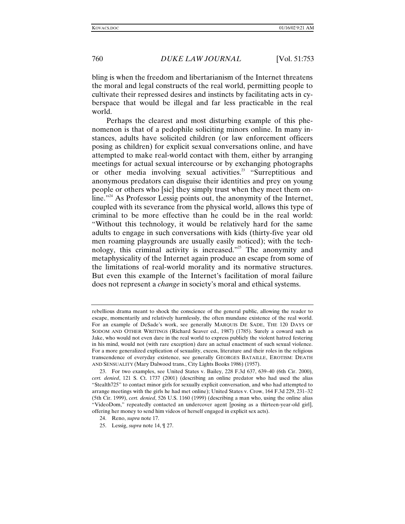bling is when the freedom and libertarianism of the Internet threatens the moral and legal constructs of the real world, permitting people to cultivate their repressed desires and instincts by facilitating acts in cyberspace that would be illegal and far less practicable in the real world.

Perhaps the clearest and most disturbing example of this phenomenon is that of a pedophile soliciting minors online. In many instances, adults have solicited children (or law enforcement officers posing as children) for explicit sexual conversations online, and have attempted to make real-world contact with them, either by arranging meetings for actual sexual intercourse or by exchanging photographs or other media involving sexual activities.<sup>23</sup> "Surreptitious and anonymous predators can disguise their identities and prey on young people or others who [sic] they simply trust when they meet them online."<sup>24</sup> As Professor Lessig points out, the anonymity of the Internet, coupled with its severance from the physical world, allows this type of criminal to be more effective than he could be in the real world: "Without this technology, it would be relatively hard for the same adults to engage in such conversations with kids (thirty-five year old men roaming playgrounds are usually easily noticed); with the technology, this criminal activity is increased." 25 The anonymity and metaphysicality of the Internet again produce an escape from some of the limitations of real-world morality and its normative structures. But even this example of the Internet's facilitation of moral failure does not represent a *change* in society's moral and ethical systems.

rebellious drama meant to shock the conscience of the general public, allowing the reader to escape, momentarily and relatively harmlessly, the often mundane existence of the real world. For an example of DeSade's work, see generally MARQUIS DE SADE, THE 120 DAYS OF SODOM AND OTHER WRITINGS (Richard Seaver ed., 1987) (1785). Surely a coward such as Jake, who would not even dare in the real world to express publicly the violent hatred festering in his mind, would not (with rare exception) dare an actual enactment of such sexual violence. For a more generalized explication of sexuality, excess, literature and their roles in the religious transcendence of everyday existence, see generally GEORGES BATAILLE, EROTISM: DEATH AND SENSUALITY (Mary Dalwood trans., City Lights Books 1986) (1957).

<sup>23.</sup> For two examples, see United States v. Bailey, 228 F.3d 637, 639–40 (6th Cir. 2000), *cert. denied*, 121 S. Ct. 1737 (2001) (describing an online predator who had used the alias "Stealth725" to contact minor girls for sexually explicit conversation, and who had attempted to arrange meetings with the girls he had met online); United States v. Crow, 164 F.3d 229, 231–32 (5th Cir. 1999), *cert. denied*, 526 U.S. 1160 (1999) (describing a man who, using the online alias "VideoDom," repeatedly contacted an undercover agent [posing as a thirteen-year-old girl], offering her money to send him videos of herself engaged in explicit sex acts).

<sup>24.</sup> Reno, *supra* note 17.

<sup>25.</sup> Lessig, *supra* note 14, ¶ 27.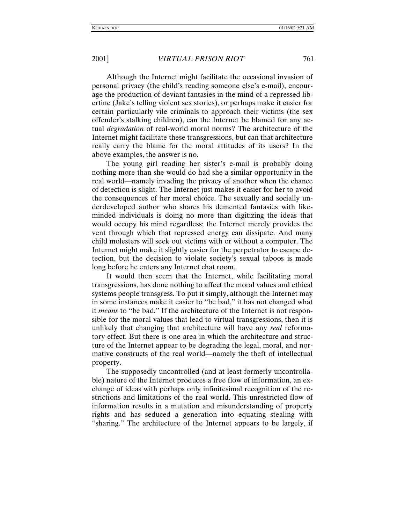Although the Internet might facilitate the occasional invasion of personal privacy (the child's reading someone else's e-mail), encourage the production of deviant fantasies in the mind of a repressed libertine (Jake's telling violent sex stories), or perhaps make it easier for certain particularly vile criminals to approach their victims (the sex offender's stalking children), can the Internet be blamed for any actual *degradation* of real-world moral norms? The architecture of the Internet might facilitate these transgressions, but can that architecture really carry the blame for the moral attitudes of its users? In the above examples, the answer is no.

The young girl reading her sister's e-mail is probably doing nothing more than she would do had she a similar opportunity in the real world—namely invading the privacy of another when the chance of detection is slight. The Internet just makes it easier for her to avoid the consequences of her moral choice. The sexually and socially underdeveloped author who shares his demented fantasies with likeminded individuals is doing no more than digitizing the ideas that would occupy his mind regardless; the Internet merely provides the vent through which that repressed energy can dissipate. And many child molesters will seek out victims with or without a computer. The Internet might make it slightly easier for the perpetrator to escape detection, but the decision to violate society's sexual taboos is made long before he enters any Internet chat room.

It would then seem that the Internet, while facilitating moral transgressions, has done nothing to affect the moral values and ethical systems people transgress. To put it simply, although the Internet may in some instances make it easier to "be bad," it has not changed what it *means* to "be bad." If the architecture of the Internet is not responsible for the moral values that lead to virtual transgressions, then it is unlikely that changing that architecture will have any *real* reformatory effect. But there is one area in which the architecture and structure of the Internet appear to be degrading the legal, moral, and normative constructs of the real world—namely the theft of intellectual property.

The supposedly uncontrolled (and at least formerly uncontrollable) nature of the Internet produces a free flow of information, an exchange of ideas with perhaps only infinitesimal recognition of the restrictions and limitations of the real world. This unrestricted flow of information results in a mutation and misunderstanding of property rights and has seduced a generation into equating stealing with "sharing." The architecture of the Internet appears to be largely, if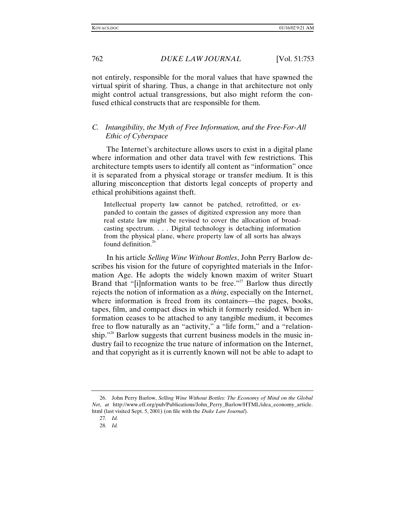not entirely, responsible for the moral values that have spawned the virtual spirit of sharing. Thus, a change in that architecture not only might control actual transgressions, but also might reform the confused ethical constructs that are responsible for them.

# *C. Intangibility, the Myth of Free Information, and the Free-For-All Ethic of Cyberspace*

The Internet's architecture allows users to exist in a digital plane where information and other data travel with few restrictions. This architecture tempts users to identify all content as "information" once it is separated from a physical storage or transfer medium. It is this alluring misconception that distorts legal concepts of property and ethical prohibitions against theft.

Intellectual property law cannot be patched, retrofitted, or expanded to contain the gasses of digitized expression any more than real estate law might be revised to cover the allocation of broadcasting spectrum. . . . Digital technology is detaching information from the physical plane, where property law of all sorts has always found definition.<sup>2</sup>

In his article *Selling Wine Without Bottles*, John Perry Barlow describes his vision for the future of copyrighted materials in the Information Age. He adopts the widely known maxim of writer Stuart Brand that "[i]nformation wants to be free."<sup>27</sup> Barlow thus directly rejects the notion of information as a *thing*, especially on the Internet, where information is freed from its containers—the pages, books, tapes, film, and compact discs in which it formerly resided. When information ceases to be attached to any tangible medium, it becomes free to flow naturally as an "activity," a "life form," and a "relationship."<sup>28</sup> Barlow suggests that current business models in the music industry fail to recognize the true nature of information on the Internet, and that copyright as it is currently known will not be able to adapt to

<sup>26.</sup> John Perry Barlow, *Selling Wine Without Bottles: The Economy of Mind on the Global Net*, *at* http://www.eff.org/pub/Publications/John\_Perry\_Barlow/HTML/idea\_economy\_article. html (last visited Sept. 5, 2001) (on file with the *Duke Law Journal*).

<sup>27</sup>*. Id.*

<sup>28</sup>*. Id.*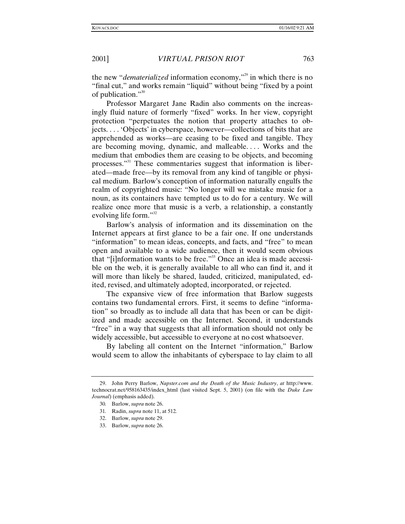the new "*dematerialized* information economy," 29 in which there is no "final cut," and works remain "liquid" without being "fixed by a point of publication." 30

Professor Margaret Jane Radin also comments on the increasingly fluid nature of formerly "fixed" works. In her view, copyright protection "perpetuates the notion that property attaches to objects. . . . 'Objects' in cyberspace, however—collections of bits that are apprehended as works—are ceasing to be fixed and tangible. They are becoming moving, dynamic, and malleable. . . . Works and the medium that embodies them are ceasing to be objects, and becoming processes."<sup>31</sup> These commentaries suggest that information is liberated—made free—by its removal from any kind of tangible or physical medium. Barlow's conception of information naturally engulfs the realm of copyrighted music: "No longer will we mistake music for a noun, as its containers have tempted us to do for a century. We will realize once more that music is a verb, a relationship, a constantly evolving life form."<sup>32</sup>

Barlow's analysis of information and its dissemination on the Internet appears at first glance to be a fair one. If one understands "information" to mean ideas, concepts, and facts, and "free" to mean open and available to a wide audience, then it would seem obvious that "[i]nformation wants to be free." 33 Once an idea is made accessible on the web, it is generally available to all who can find it, and it will more than likely be shared, lauded, criticized, manipulated, edited, revised, and ultimately adopted, incorporated, or rejected.

The expansive view of free information that Barlow suggests contains two fundamental errors. First, it seems to define "information" so broadly as to include all data that has been or can be digitized and made accessible on the Internet. Second, it understands "free" in a way that suggests that all information should not only be widely accessible, but accessible to everyone at no cost whatsoever.

By labeling all content on the Internet "information," Barlow would seem to allow the inhabitants of cyberspace to lay claim to all

<sup>29.</sup> John Perry Barlow, *Napster.com and the Death of the Music Industry*, *at* http://www. technocrat.net/958163435/index\_html (last visited Sept. 5, 2001) (on file with the *Duke Law Journal*) (emphasis added).

<sup>30</sup>*.* Barlow, *supra* note 26.

<sup>31</sup>*.* Radin, *supra* note 11, at 512*.*

<sup>32.</sup> Barlow, *supra* note 29.

<sup>33.</sup> Barlow, *supra* note 26.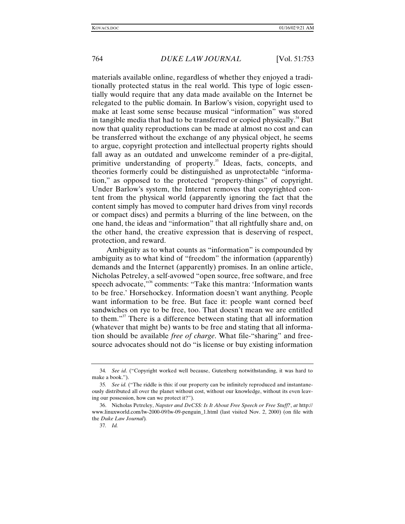materials available online, regardless of whether they enjoyed a traditionally protected status in the real world. This type of logic essentially would require that any data made available on the Internet be relegated to the public domain. In Barlow's vision, copyright used to make at least some sense because musical "information" was stored in tangible media that had to be transferred or copied physically.<sup>34</sup> But now that quality reproductions can be made at almost no cost and can be transferred without the exchange of any physical object, he seems to argue, copyright protection and intellectual property rights should fall away as an outdated and unwelcome reminder of a pre-digital, primitive understanding of property.<sup>35</sup> Ideas, facts, concepts, and theories formerly could be distinguished as unprotectable "information," as opposed to the protected "property-things" of copyright. Under Barlow's system, the Internet removes that copyrighted content from the physical world (apparently ignoring the fact that the content simply has moved to computer hard drives from vinyl records or compact discs) and permits a blurring of the line between, on the one hand, the ideas and "information" that all rightfully share and, on the other hand, the creative expression that is deserving of respect, protection, and reward.

Ambiguity as to what counts as "information" is compounded by ambiguity as to what kind of "freedom" the information (apparently) demands and the Internet (apparently) promises. In an online article, Nicholas Petreley, a self-avowed "open source, free software, and free speech advocate,"<sup>36</sup> comments: "Take this mantra: 'Information wants to be free.' Horsehockey. Information doesn't want anything. People want information to be free. But face it: people want corned beef sandwiches on rye to be free, too. That doesn't mean we are entitled to them."<sup>37</sup> There is a difference between stating that all information (whatever that might be) wants to be free and stating that all information should be available *free of charge*. What file-"sharing" and freesource advocates should not do "is license or buy existing information

<sup>34</sup>*. See id*. ("Copyright worked well because, Gutenberg notwithstanding, it was hard to make a book.").

<sup>35</sup>*. See id.* ("The riddle is this: if our property can be infinitely reproduced and instantaneously distributed all over the planet without cost, without our knowledge, without its even leaving our possession, how can we protect it?").

<sup>36.</sup> Nicholas Petreley, *Napster and DeCSS: Is It About Free Speech or Free Stuff?*, *at* http:// www.linuxworld.com/lw-2000-09/lw-09-penguin\_1.html (last visited Nov. 2, 2000) (on file with the *Duke Law Journal*)*.*

<sup>37</sup>*. Id.*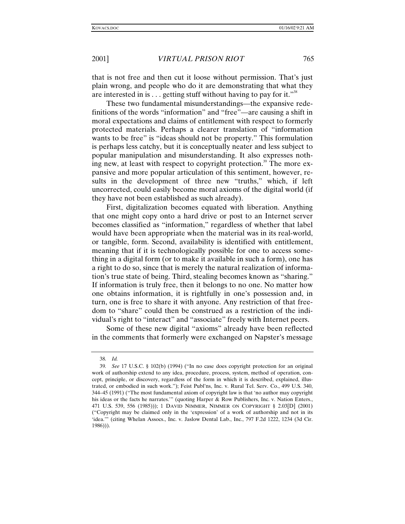that is not free and then cut it loose without permission. That's just plain wrong, and people who do it are demonstrating that what they are interested in is  $\dots$  getting stuff without having to pay for it."<sup>38</sup>

These two fundamental misunderstandings—the expansive redefinitions of the words "information" and "free"—are causing a shift in moral expectations and claims of entitlement with respect to formerly protected materials. Perhaps a clearer translation of "information wants to be free" is "ideas should not be property." This formulation is perhaps less catchy, but it is conceptually neater and less subject to popular manipulation and misunderstanding. It also expresses nothing new, at least with respect to copyright protection.<sup>39</sup> The more expansive and more popular articulation of this sentiment, however, results in the development of three new "truths," which, if left uncorrected, could easily become moral axioms of the digital world (if they have not been established as such already).

First, digitalization becomes equated with liberation. Anything that one might copy onto a hard drive or post to an Internet server becomes classified as "information," regardless of whether that label would have been appropriate when the material was in its real-world, or tangible, form. Second, availability is identified with entitlement, meaning that if it is technologically possible for one to access something in a digital form (or to make it available in such a form), one has a right to do so, since that is merely the natural realization of information's true state of being. Third, stealing becomes known as "sharing." If information is truly free, then it belongs to no one. No matter how one obtains information, it is rightfully in one's possession and, in turn, one is free to share it with anyone. Any restriction of that freedom to "share" could then be construed as a restriction of the individual's right to "interact" and "associate" freely with Internet peers.

Some of these new digital "axioms" already have been reflected in the comments that formerly were exchanged on Napster's message

<sup>38</sup>*. Id.*

<sup>39</sup>*. See* 17 U.S.C. § 102(b) (1994) ("In no case does copyright protection for an original work of authorship extend to any idea, procedure, process, system, method of operation, concept, principle, or discovery, regardless of the form in which it is described, explained, illustrated, or embodied in such work."); Feist Publ'ns, Inc. v. Rural Tel. Serv. Co., 499 U.S. 340, 344–45 (1991) ("The most fundamental axiom of copyright law is that 'no author may copyright his ideas or the facts he narrates." (quoting Harper & Row Publishers, Inc. v. Nation Enters., 471 U.S. 539, 556 (1985))); 1 DAVID NIMMER, NIMMER ON COPYRIGHT § 2.03[D] (2001) ("Copyright may be claimed only in the 'expression' of a work of authorship and not in its 'idea." (citing Whelan Assocs., Inc. v. Jaslow Dental Lab., Inc., 797 F.2d 1222, 1234 (3d Cir. 1986))).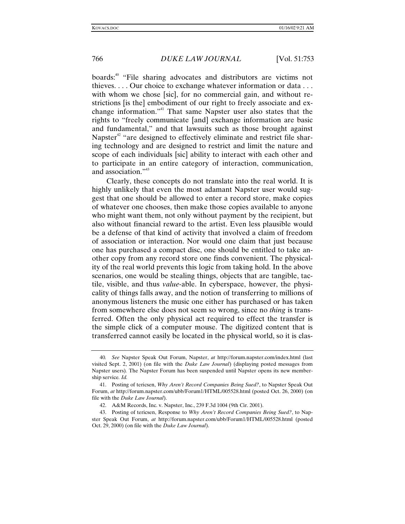boards:40 "File sharing advocates and distributors are victims not thieves. . . . Our choice to exchange whatever information or data . . . with whom we chose [sic], for no commercial gain, and without restrictions [is the] embodiment of our right to freely associate and exchange information."<sup>41</sup> That same Napster user also states that the rights to "freely communicate [and] exchange information are basic and fundamental," and that lawsuits such as those brought against Napster<sup>42</sup> "are designed to effectively eliminate and restrict file sharing technology and are designed to restrict and limit the nature and scope of each individuals [sic] ability to interact with each other and to participate in an entire category of interaction, communication, and association." 43

Clearly, these concepts do not translate into the real world. It is highly unlikely that even the most adamant Napster user would suggest that one should be allowed to enter a record store, make copies of whatever one chooses, then make those copies available to anyone who might want them, not only without payment by the recipient, but also without financial reward to the artist. Even less plausible would be a defense of that kind of activity that involved a claim of freedom of association or interaction. Nor would one claim that just because one has purchased a compact disc, one should be entitled to take another copy from any record store one finds convenient. The physicality of the real world prevents this logic from taking hold. In the above scenarios, one would be stealing things, objects that are tangible, tactile, visible, and thus *value-*able. In cyberspace, however, the physicality of things falls away, and the notion of transferring to millions of anonymous listeners the music one either has purchased or has taken from somewhere else does not seem so wrong, since no *thing* is transferred. Often the only physical act required to effect the transfer is the simple click of a computer mouse. The digitized content that is transferred cannot easily be located in the physical world, so it is clas-

<sup>40</sup>*. See* Napster Speak Out Forum, Napster, *at* http://forum.napster.com/index.html (last visited Sept. 2, 2001) (on file with the *Duke Law Journal*) (displaying posted messages from Napster users)*.* The Napster Forum has been suspended until Napster opens its new membership service*. Id.*

<sup>41.</sup> Posting of tericsen, *Why Aren't Record Companies Being Sued?*, to Napster Speak Out Forum, *at* http://forum.napster.com/ubb/Forum1/HTML/005528.html (posted Oct. 26, 2000) (on file with the *Duke Law Journal*).

<sup>42.</sup> A&M Records, Inc. v. Napster, Inc., 239 F.3d 1004 (9th Cir. 2001).

<sup>43.</sup> Posting of tericsen, Response to *Why Aren't Record Companies Being Sued?*, to Napster Speak Out Forum, *at* http://forum.napster.com/ubb/Forum1/HTML/005528.html (posted Oct. 29, 2000) (on file with the *Duke Law Journal*).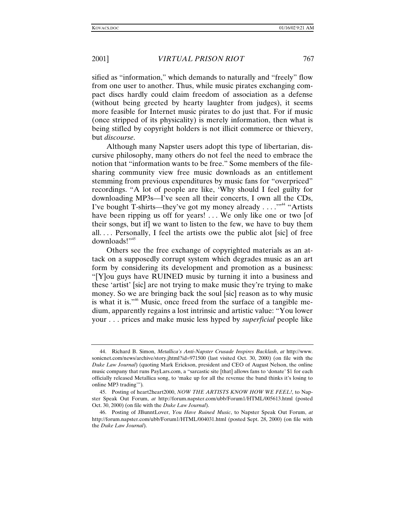sified as "information," which demands to naturally and "freely" flow from one user to another. Thus, while music pirates exchanging compact discs hardly could claim freedom of association as a defense (without being greeted by hearty laughter from judges), it seems more feasible for Internet music pirates to do just that. For if music (once stripped of its physicality) is merely information, then what is being stifled by copyright holders is not illicit commerce or thievery, but *discourse*.

Although many Napster users adopt this type of libertarian, discursive philosophy, many others do not feel the need to embrace the notion that "information wants to be free." Some members of the filesharing community view free music downloads as an entitlement stemming from previous expenditures by music fans for "overpriced" recordings. "A lot of people are like, 'Why should I feel guilty for downloading MP3s—I've seen all their concerts, I own all the CDs, I've bought T-shirts—they've got my money already  $\dots$ <sup>44</sup> "Artists" have been ripping us off for years! ... We only like one or two [of their songs, but if] we want to listen to the few, we have to buy them all. . . . Personally, I feel the artists owe the public alot [sic] of free downloads!" 45

Others see the free exchange of copyrighted materials as an attack on a supposedly corrupt system which degrades music as an art form by considering its development and promotion as a business: "[Y]ou guys have RUINED music by turning it into a business and these 'artist' [sic] are not trying to make music they're trying to make money. So we are bringing back the soul [sic] reason as to why music is what it is."<sup>46</sup> Music, once freed from the surface of a tangible medium, apparently regains a lost intrinsic and artistic value: "You lower your . . . prices and make music less hyped by *superficial* people like

<sup>44.</sup> Richard B. Simon, *Metallica's Anti-Napster Crusade Inspires Backlash*, *at* http://www. sonicnet.com/news/archive/story.jhtml?id=971500 (last visited Oct. 30, 2000) (on file with the *Duke Law Journal*) (quoting Mark Erickson, president and CEO of August Nelson, the online music company that runs PayLars.com, a "sarcastic site [that] allows fans to 'donate' \$1 for each officially released Metallica song, to 'make up for all the revenue the band thinks it's losing to online MP3 trading'")*.*

<sup>45.</sup> Posting of heart2heart2000, *NOW THE ARTISTS KNOW HOW WE FEEL!*, to Napster Speak Out Forum, *at* http://forum.napster.com/ubb/Forum1/HTML/005613.html (posted Oct. 30, 2000) (on file with the *Duke Law Journal*).

<sup>46.</sup> Posting of JBunntLover, *You Have Ruined Music*, to Napster Speak Out Forum, *at* http://forum.napster.com/ubb/Forum1/HTML/004031.html (posted Sept. 28, 2000) (on file with the *Duke Law Journal*).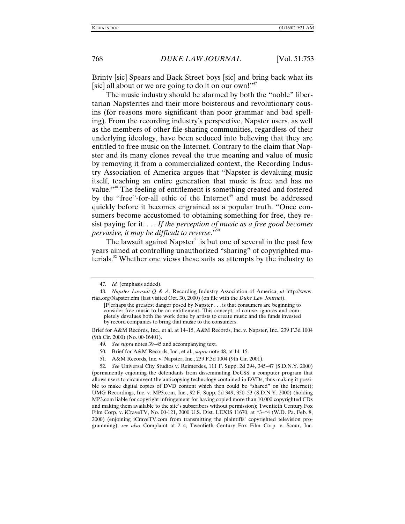Brinty [sic] Spears and Back Street boys [sic] and bring back what its [sic] all about or we are going to do it on our own!"<sup>47</sup>

The music industry should be alarmed by both the "noble" libertarian Napsterites and their more boisterous and revolutionary cousins (for reasons more significant than poor grammar and bad spelling). From the recording industry's perspective, Napster users, as well as the members of other file-sharing communities, regardless of their underlying ideology, have been seduced into believing that they are entitled to free music on the Internet. Contrary to the claim that Napster and its many clones reveal the true meaning and value of music by removing it from a commercialized context, the Recording Industry Association of America argues that "Napster is devaluing music itself, teaching an entire generation that music is free and has no value."<sup>48</sup> The feeling of entitlement is something created and fostered by the "free"-for-all ethic of the Internet<sup>49</sup> and must be addressed quickly before it becomes engrained as a popular truth. "Once consumers become accustomed to obtaining something for free, they resist paying for it. . . . *If the perception of music as a free good becomes pervasive, it may be difficult to reverse*." 50

The lawsuit against Napster<sup>51</sup> is but one of several in the past few years aimed at controlling unauthorized "sharing" of copyrighted materials.<sup>52</sup> Whether one views these suits as attempts by the industry to

48. *Napster Lawsuit Q & A*, Recording Industry Association of America, *at* http://www. riaa.org/Napster.cfm (last visited Oct. 30, 2000) (on file with the *Duke Law Journal*).

Brief for A&M Records, Inc., et al. at 14–15, A&M Records, Inc. v. Napster, Inc., 239 F.3d 1004 (9th Cir. 2000) (No. 00-16401).

- 49*. See supra* notes 39–45 and accompanying text*.*
- 50. Brief for A&M Records, Inc., et al., *supra* note 48, at 14–15.
- 51. A&M Records, Inc. v. Napster, Inc., 239 F.3d 1004 (9th Cir. 2001).

52*. See* Universal City Studios v. Reimerdes, 111 F. Supp. 2d 294, 345–47 (S.D.N.Y. 2000) (permanently enjoining the defendants from disseminating DeCSS, a computer program that allows users to circumvent the anticopying technology contained in DVDs, thus making it possible to make digital copies of DVD content which then could be "shared" on the Internet); UMG Recordings, Inc. v. MP3.com, Inc., 92 F. Supp. 2d 349, 350–53 (S.D.N.Y. 2000) (holding MP3.com liable for copyright infringement for having copied more than 10,000 copyrighted CDs and making them available to the site's subscribers without permission); Twentieth Century Fox Film Corp. v. iCraveTV, No. 00-121, 2000 U.S. Dist. LEXIS 11670, at \*3–\*4 (W.D. Pa. Feb. 8, 2000) (enjoining iCraveTV.com from transmitting the plaintiffs' copyrighted television programming); *see also* Complaint at 2–4, Twentieth Century Fox Film Corp. v. Scour, Inc.

<sup>47</sup>*. Id.* (emphasis added).

<sup>[</sup>P]erhaps the greatest danger posed by Napster . . . is that consumers are beginning to consider free music to be an entitlement*.* This concept, of course, ignores and completely devalues both the work done by artists to create music and the funds invested by record companies to bring that music to the consumers.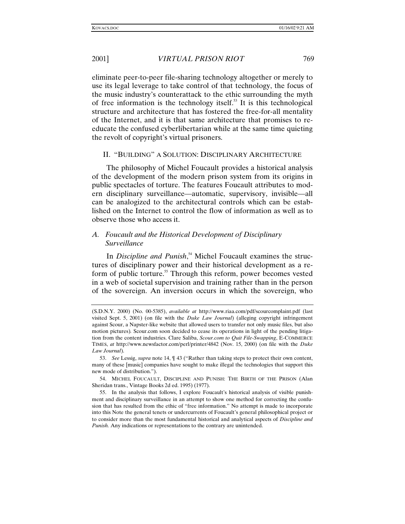eliminate peer-to-peer file-sharing technology altogether or merely to use its legal leverage to take control of that technology, the focus of the music industry's counterattack to the ethic surrounding the myth of free information is the technology itself.<sup>53</sup> It is this technological structure and architecture that has fostered the free-for-all mentality of the Internet, and it is that same architecture that promises to reeducate the confused cyberlibertarian while at the same time quieting the revolt of copyright's virtual prisoners.

# II. "BUILDING" A SOLUTION: DISCIPLINARY ARCHITECTURE

The philosophy of Michel Foucault provides a historical analysis of the development of the modern prison system from its origins in public spectacles of torture. The features Foucault attributes to modern disciplinary surveillance—automatic, supervisory, invisible—all can be analogized to the architectural controls which can be established on the Internet to control the flow of information as well as to observe those who access it.

# *A. Foucault and the Historical Development of Disciplinary Surveillance*

In *Discipline and Punish*,<sup>54</sup> Michel Foucault examines the structures of disciplinary power and their historical development as a reform of public torture.<sup>55</sup> Through this reform, power becomes vested in a web of societal supervision and training rather than in the person of the sovereign. An inversion occurs in which the sovereign, who

<sup>(</sup>S.D.N.Y. 2000) (No. 00-5385), *available at* http://www.riaa.com/pdf/scourcomplaint.pdf (last visited Sept. 5, 2001) (on file with the *Duke Law Journal*) (alleging copyright infringement against Scour, a Napster-like website that allowed users to transfer not only music files, but also motion pictures)*.* Scour.com soon decided to cease its operations in light of the pending litigation from the content industries. Clare Saliba, *Scour.com to Quit File-Swapping*, E-COMMERCE TIMES, *at* http://www.newsfactor.com/perl/printer/4842 (Nov. 15, 2000) (on file with the *Duke Law Journal*).

<sup>53.</sup> *See* Lessig, *supra* note 14, ¶ 43 ("Rather than taking steps to protect their own content, many of these [music] companies have sought to make illegal the technologies that support this new mode of distribution.").

<sup>54.</sup> MICHEL FOUCAULT, DISCIPLINE AND PUNISH: THE BIRTH OF THE PRISON (Alan Sheridan trans., Vintage Books 2d ed. 1995) (1977).

<sup>55.</sup> In the analysis that follows, I explore Foucault's historical analysis of visible punishment and disciplinary surveillance in an attempt to show one method for correcting the confusion that has resulted from the ethic of "free information." No attempt is made to incorporate into this Note the general tenets or undercurrents of Foucault's general philosophical project or to consider more than the most fundamental historical and analytical aspects of *Discipline and Punish.* Any indications or representations to the contrary are unintended.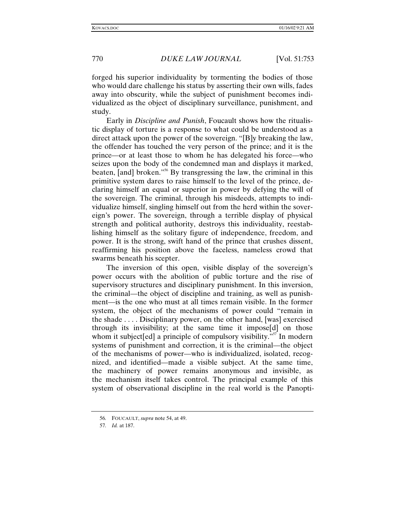forged his superior individuality by tormenting the bodies of those who would dare challenge his status by asserting their own wills, fades away into obscurity, while the subject of punishment becomes individualized as the object of disciplinary surveillance, punishment, and study.

Early in *Discipline and Punish*, Foucault shows how the ritualistic display of torture is a response to what could be understood as a direct attack upon the power of the sovereign. "[B]y breaking the law, the offender has touched the very person of the prince; and it is the prince—or at least those to whom he has delegated his force—who seizes upon the body of the condemned man and displays it marked, beaten, [and] broken."<sup>56</sup> By transgressing the law, the criminal in this primitive system dares to raise himself to the level of the prince, declaring himself an equal or superior in power by defying the will of the sovereign. The criminal, through his misdeeds, attempts to individualize himself, singling himself out from the herd within the sovereign's power. The sovereign, through a terrible display of physical strength and political authority, destroys this individuality, reestablishing himself as the solitary figure of independence, freedom, and power. It is the strong, swift hand of the prince that crushes dissent, reaffirming his position above the faceless, nameless crowd that swarms beneath his scepter.

The inversion of this open, visible display of the sovereign's power occurs with the abolition of public torture and the rise of supervisory structures and disciplinary punishment. In this inversion, the criminal—the object of discipline and training, as well as punishment—is the one who must at all times remain visible. In the former system, the object of the mechanisms of power could "remain in the shade . . . . Disciplinary power, on the other hand, [was] exercised through its invisibility; at the same time it impose[d] on those whom it subject[ed] a principle of compulsory visibility."<sup>57</sup> In modern systems of punishment and correction, it is the criminal—the object of the mechanisms of power—who is individualized, isolated, recognized, and identified—made a visible subject. At the same time, the machinery of power remains anonymous and invisible, as the mechanism itself takes control. The principal example of this system of observational discipline in the real world is the Panopti-

<sup>56</sup>*.* FOUCAULT, *supra* note 54, at 49.

<sup>57</sup>*. Id.* at 187.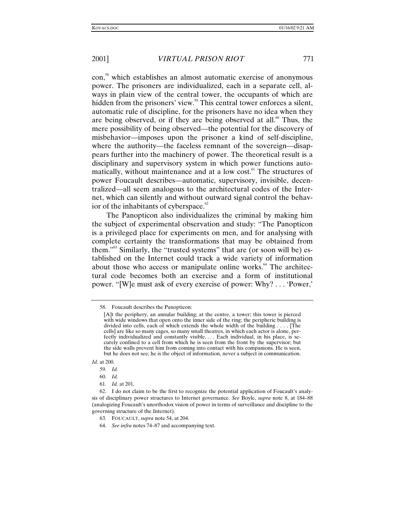con,<sup>58</sup> which establishes an almost automatic exercise of anonymous power. The prisoners are individualized, each in a separate cell, always in plain view of the central tower, the occupants of which are hidden from the prisoners' view.<sup>59</sup> This central tower enforces a silent, automatic rule of discipline, for the prisoners have no idea when they are being observed, or if they are being observed at all.<sup>60</sup> Thus, the mere possibility of being observed—the potential for the discovery of misbehavior—imposes upon the prisoner a kind of self-discipline, where the authority—the faceless remnant of the sovereign—disappears further into the machinery of power. The theoretical result is a disciplinary and supervisory system in which power functions automatically, without maintenance and at a low cost. $61$  The structures of power Foucault describes—automatic, supervisory, invisible, decentralized—all seem analogous to the architectural codes of the Internet, which can silently and without outward signal control the behavior of the inhabitants of cyberspace. $62$ 

The Panopticon also individualizes the criminal by making him the subject of experimental observation and study: "The Panopticon is a privileged place for experiments on men, and for analysing with complete certainty the transformations that may be obtained from them." 63 Similarly, the "trusted systems" that are (or soon will be) established on the Internet could track a wide variety of information about those who access or manipulate online works.<sup>64</sup> The architectural code becomes both an exercise and a form of institutional power. "[W]e must ask of every exercise of power: Why? . . . 'Power,'

*Id.* at 200.

61*. Id.* at 201.

<sup>58.</sup> Foucault describes the Panopticon:

<sup>[</sup>A]t the periphery, an annular building; at the centre, a tower; this tower is pierced with wide windows that open onto the inner side of the ring; the peripheric building is divided into cells, each of which extends the whole width of the building . . . . [The cells] are like so many cages, so many small theatres, in which each actor is alone, perfectly individualized and constantly visible. . . . Each individual, in his place, is securely confined to a cell from which he is seen from the front by the supervisor; but the side walls prevent him from coming into contact with his companions. He is seen, but he does not see; he is the object of information, never a subject in communication.

<sup>59</sup>*. Id.*

<sup>60</sup>*. Id.*

<sup>62.</sup> I do not claim to be the first to recognize the potential application of Foucault's analysis of disciplinary power structures to Internet governance. *See* Boyle, *supra* note 8, at 184–88 (analogizing Foucault's unorthodox vision of power in terms of surveillance and discipline to the governing structure of the Internet).

<sup>63</sup>*.* FOUCAULT, *supra* note 54, at 204.

<sup>64</sup>*. See infra* notes 74–87 and accompanying text.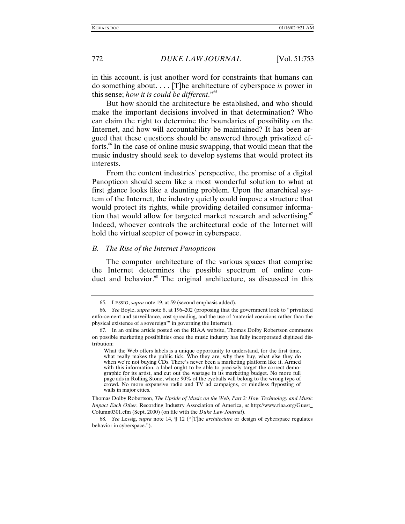in this account, is just another word for constraints that humans can do something about. . . . [T]he architecture of cyberspace *is* power in this sense; *how it is could be different*." 65

But how should the architecture be established, and who should make the important decisions involved in that determination? Who can claim the right to determine the boundaries of possibility on the Internet, and how will accountability be maintained? It has been argued that these questions should be answered through privatized efforts.<sup>66</sup> In the case of online music swapping, that would mean that the music industry should seek to develop systems that would protect its interests.

From the content industries' perspective, the promise of a digital Panopticon should seem like a most wonderful solution to what at first glance looks like a daunting problem. Upon the anarchical system of the Internet, the industry quietly could impose a structure that would protect its rights, while providing detailed consumer information that would allow for targeted market research and advertising.<sup>67</sup> Indeed, whoever controls the architectural code of the Internet will hold the virtual scepter of power in cyberspace.

#### *B. The Rise of the Internet Panopticon*

The computer architecture of the various spaces that comprise the Internet determines the possible spectrum of online conduct and behavior.<sup>68</sup> The original architecture, as discussed in this

Thomas Dolby Robertson, *The Upside of Music on the Web, Part 2: How Technology and Music Impact Each Other*, Recording Industry Association of America, *at* http://www.riaa.org/Guest\_ Column0301.cfm (Sept. 2000) (on file with the *Duke Law Journal*).

68*. See* Lessig, *supra* note 14, ¶ 12 ("[T]he *architecture* or design of cyberspace regulates behavior in cyberspace.").

<sup>65.</sup> LESSIG, *supra* note 19, at 59 (second emphasis added).

<sup>66</sup>*. See* Boyle, *supra* note 8, at 196–202 (proposing that the government look to "privatized enforcement and surveillance, cost spreading, and the use of 'material coercions rather than the physical existence of a sovereign'" in governing the Internet).

<sup>67.</sup> In an online article posted on the RIAA website, Thomas Dolby Robertson comments on possible marketing possibilities once the music industry has fully incorporated digitized distribution:

What the Web offers labels is a unique opportunity to understand, for the first time, what really makes the public tick. Who they are, why they buy, what else they do when we're not buying CDs. There's never been a marketing platform like it. Armed with this information, a label ought to be able to precisely target the correct demographic for its artist, and cut out the wastage in its marketing budget. No more full page ads in Rolling Stone, where 90% of the eyeballs will belong to the wrong type of crowd. No more expensive radio and TV ad campaigns, or mindless flyposting of walls in major cities.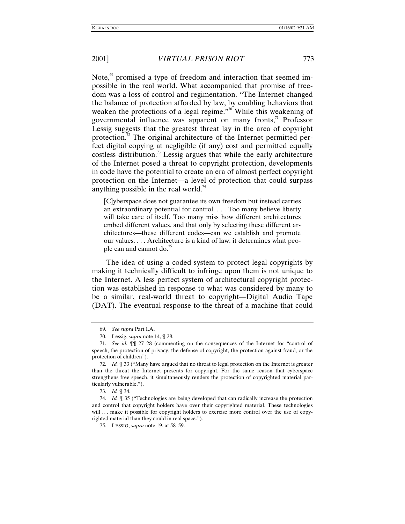Note, $\degree$  promised a type of freedom and interaction that seemed impossible in the real world. What accompanied that promise of freedom was a loss of control and regimentation. "The Internet changed the balance of protection afforded by law, by enabling behaviors that weaken the protections of a legal regime."<sup>70</sup> While this weakening of governmental influence was apparent on many fronts, $\alpha$ <sup>1</sup> Professor Lessig suggests that the greatest threat lay in the area of copyright protection.<sup>72</sup> The original architecture of the Internet permitted perfect digital copying at negligible (if any) cost and permitted equally costless distribution.<sup>73</sup> Lessig argues that while the early architecture of the Internet posed a threat to copyright protection, developments in code have the potential to create an era of almost perfect copyright protection on the Internet—a level of protection that could surpass anything possible in the real world.<sup>74</sup>

[C]yberspace does not guarantee its own freedom but instead carries an extraordinary potential for control. . . . Too many believe liberty will take care of itself. Too many miss how different architectures embed different values, and that only by selecting these different architectures—these different codes—can we establish and promote our values. . . . Architecture is a kind of law: it determines what people can and cannot do. $\frac{1}{2}$ 

The idea of using a coded system to protect legal copyrights by making it technically difficult to infringe upon them is not unique to the Internet. A less perfect system of architectural copyright protection was established in response to what was considered by many to be a similar, real-world threat to copyright—Digital Audio Tape (DAT). The eventual response to the threat of a machine that could

75. LESSIG, *supra* note 19, at 58–59.

<sup>69</sup>*. See supra* Part I.A.

<sup>70.</sup> Lessig, *supra* note 14, ¶ 28.

<sup>71</sup>*. See id.* ¶¶ 27–28 (commenting on the consequences of the Internet for "control of speech, the protection of privacy, the defense of copyright, the protection against fraud, or the protection of children").

<sup>72</sup>*. Id.* ¶ 33 ("Many have argued that no threat to legal protection on the Internet is greater than the threat the Internet presents for copyright*.* For the same reason that cyberspace strengthens free speech, it simultaneously renders the protection of copyrighted material particularly vulnerable.").

<sup>73</sup>*. Id.* ¶ 34.

<sup>74</sup>*. Id.* ¶ 35 ("Technologies are being developed that can radically increase the protection and control that copyright holders have over their copyrighted material. These technologies will ... make it possible for copyright holders to exercise more control over the use of copyrighted material than they could in real space.").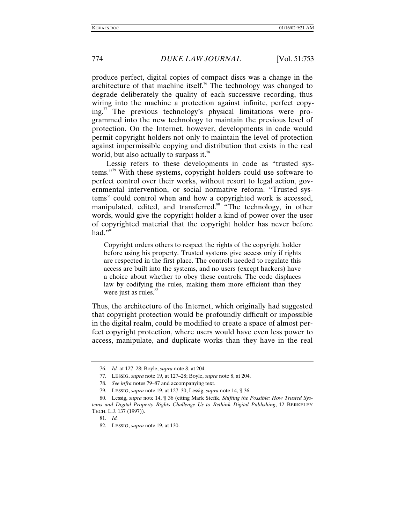produce perfect, digital copies of compact discs was a change in the architecture of that machine itself.<sup>76</sup> The technology was changed to degrade deliberately the quality of each successive recording, thus wiring into the machine a protection against infinite, perfect copying.<sup>77</sup> The previous technology's physical limitations were programmed into the new technology to maintain the previous level of protection. On the Internet, however, developments in code would permit copyright holders not only to maintain the level of protection against impermissible copying and distribution that exists in the real world, but also actually to surpass it.<sup>78</sup>

Lessig refers to these developments in code as "trusted systems."<sup>79</sup> With these systems, copyright holders could use software to perfect control over their works, without resort to legal action, governmental intervention, or social normative reform. "Trusted systems" could control when and how a copyrighted work is accessed, manipulated, edited, and transferred.<sup>80</sup> "The technology, in other words, would give the copyright holder a kind of power over the user of copyrighted material that the copyright holder has never before had."<sup>8</sup>

Copyright orders others to respect the rights of the copyright holder before using his property. Trusted systems give access only if rights are respected in the first place. The controls needed to regulate this access are built into the systems, and no users (except hackers) have a choice about whether to obey these controls. The code displaces law by codifying the rules, making them more efficient than they were just as rules.<sup>82</sup>

Thus, the architecture of the Internet, which originally had suggested that copyright protection would be profoundly difficult or impossible in the digital realm, could be modified to create a space of almost perfect copyright protection, where users would have even less power to access, manipulate, and duplicate works than they have in the real

<sup>76.</sup> *Id.* at 127–28; Boyle, *supra* note 8, at 204.

<sup>77</sup>*.* LESSIG, *supra* note 19, at 127–28; Boyle, *supra* note 8, at 204.

<sup>78</sup>*. See infra* notes 79–87 and accompanying text.

<sup>79.</sup> LESSIG, *supra* note 19, at 127–30; Lessig, *supra* note 14, ¶ 36.

<sup>80.</sup> Lessig, *supra* note 14, ¶ 36 (citing Mark Stefik, *Shifting the Possible: How Trusted Systems and Digital Property Rights Challenge Us to Rethink Digital Publishing*, 12 BERKELEY TECH. L.J. 137 (1997)).

<sup>81</sup>*. Id.*

<sup>82.</sup> LESSIG, *supra* note 19, at 130.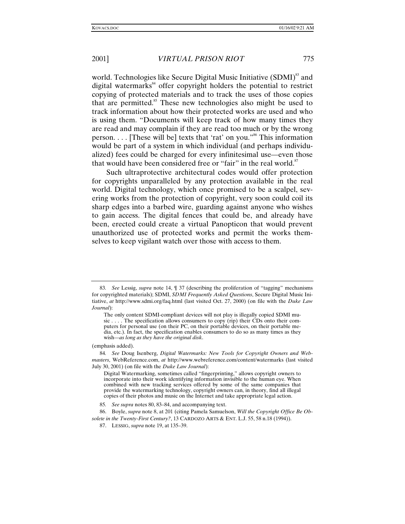world. Technologies like Secure Digital Music Initiative (SDMI)<sup>83</sup> and digital watermarks $^{84}$  offer copyright holders the potential to restrict copying of protected materials and to track the uses of those copies that are permitted.<sup>85</sup> These new technologies also might be used to track information about how their protected works are used and who is using them. "Documents will keep track of how many times they are read and may complain if they are read too much or by the wrong person. . . . [These will be] texts that 'rat' on you." 86 This information would be part of a system in which individual (and perhaps individualized) fees could be charged for every infinitesimal use—even those that would have been considered free or "fair" in the real world.<sup>87</sup>

Such ultraprotective architectural codes would offer protection for copyrights unparalleled by any protection available in the real world. Digital technology, which once promised to be a scalpel, severing works from the protection of copyright, very soon could coil its sharp edges into a barbed wire, guarding against anyone who wishes to gain access. The digital fences that could be, and already have been, erected could create a virtual Panopticon that would prevent unauthorized use of protected works and permit the works themselves to keep vigilant watch over those with access to them.

#### (emphasis added).

<sup>83</sup>*. See* Lessig, *supra* note 14, ¶ 37 (describing the proliferation of "tagging" mechanisms for copyrighted materials); SDMI, *SDMI Frequently Asked Questions*, Secure Digital Music Initiative, *at* http://www.sdmi.org/faq.html (last visited Oct. 27, 2000) (on file with the *Duke Law Journal*):

The only content SDMI-compliant devices will not play is illegally copied SDMI music . . . . The specification allows consumers to copy (rip) their CDs onto their computers for personal use (on their PC, on their portable devices, on their portable media, etc.). In fact, the specification enables consumers to do so as many times as they wish—*as long as they have the original disk*.

<sup>84</sup>*. See* Doug Isenberg, *Digital Watermarks: New Tools for Copyright Owners and Webmasters*, WebReference.com, *at* http://www.webreference.com/content/watermarks (last visited July 30, 2001) (on file with the *Duke Law Journal*):

Digital Watermarking, sometimes called "fingerprinting," allows copyright owners to incorporate into their work identifying information invisible to the human eye. When combined with new tracking services offered by some of the same companies that provide the watermarking technology, copyright owners can, in theory, find all illegal copies of their photos and music on the Internet and take appropriate legal action.

<sup>85</sup>*. See supra* notes 80, 83–84, and accompanying text.

<sup>86.</sup> Boyle, *supra* note 8, at 201 (citing Pamela Samuelson, *Will the Copyright Office Be Obsolete in the Twenty-First Century?*, 13 CARDOZO ARTS & ENT. L.J. 55, 58 n.18 (1994)).

<sup>87.</sup> LESSIG, *supra* note 19, at 135–39.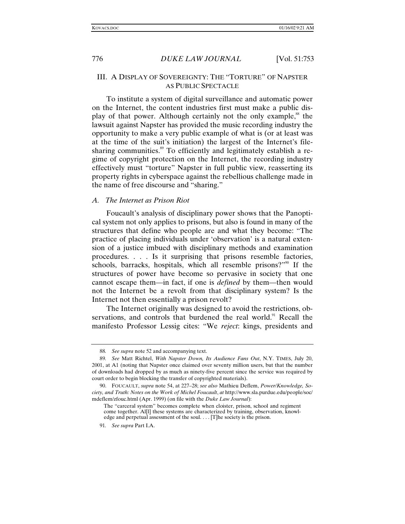# III. A DISPLAY OF SOVEREIGNTY: THE "TORTURE" OF NAPSTER AS PUBLIC SPECTACLE

To institute a system of digital surveillance and automatic power on the Internet, the content industries first must make a public display of that power. Although certainly not the only example,<sup>88</sup> the lawsuit against Napster has provided the music recording industry the opportunity to make a very public example of what is (or at least was at the time of the suit's initiation) the largest of the Internet's filesharing communities.<sup>89</sup> To efficiently and legitimately establish a regime of copyright protection on the Internet, the recording industry effectively must "torture" Napster in full public view, reasserting its property rights in cyberspace against the rebellious challenge made in the name of free discourse and "sharing."

#### *A. The Internet as Prison Riot*

Foucault's analysis of disciplinary power shows that the Panoptical system not only applies to prisons, but also is found in many of the structures that define who people are and what they become: "The practice of placing individuals under 'observation' is a natural extension of a justice imbued with disciplinary methods and examination procedures. . . . Is it surprising that prisons resemble factories, schools, barracks, hospitals, which all resemble prisons?"<sup>90</sup> If the structures of power have become so pervasive in society that one cannot escape them—in fact, if one is *defined* by them—then would not the Internet be a revolt from that disciplinary system? Is the Internet not then essentially a prison revolt?

The Internet originally was designed to avoid the restrictions, observations, and controls that burdened the real world.<sup>91</sup> Recall the manifesto Professor Lessig cites: "We *reject*: kings, presidents and

<sup>88</sup>*. See supra* note 52 and accompanying text.

<sup>89</sup>*. See* Matt Richtel, *With Napster Down, Its Audience Fans Out*, N.Y. TIMES, July 20, 2001, at A1 (noting that Napster once claimed over seventy million users, but that the number of downloads had dropped by as much as ninety-five percent since the service was required by court order to begin blocking the transfer of copyrighted materials).

<sup>90.</sup> FOUCAULT, *supra* note 54, at 227–28; *see also* Mathieu Deflem, *Power/Knowledge, Society, and Truth: Notes on the Work of Michel Foucault*, *at* http://www.sla.purdue.edu/people/soc/ mdeflem/zfouc.html (Apr. 1999) (on file with the *Duke Law Journal*):

The "carceral system" becomes complete when cloister, prison, school and regiment come together. Al[l] these systems are characterized by training, observation, knowledge and perpetual assessment of the soul. . . . [T]he society is the prison.

<sup>91</sup>*. See supra* Part I.A.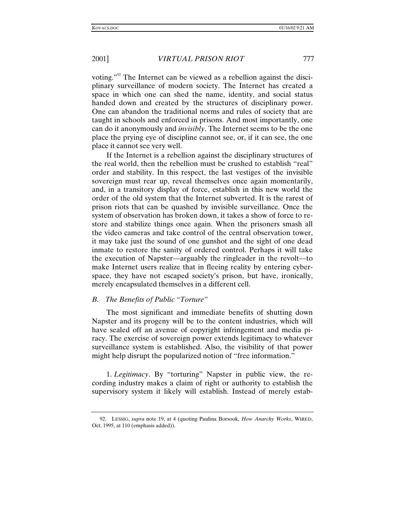voting."<sup>92</sup> The Internet can be viewed as a rebellion against the disciplinary surveillance of modern society. The Internet has created a space in which one can shed the name, identity, and social status handed down and created by the structures of disciplinary power. One can abandon the traditional norms and rules of society that are taught in schools and enforced in prisons. And most importantly, one can do it anonymously and *invisibly*. The Internet seems to be the one place the prying eye of discipline cannot see, or, if it can see, the one place it cannot see very well.

If the Internet is a rebellion against the disciplinary structures of the real world, then the rebellion must be crushed to establish "real" order and stability. In this respect, the last vestiges of the invisible sovereign must rear up, reveal themselves once again momentarily, and, in a transitory display of force, establish in this new world the order of the old system that the Internet subverted. It is the rarest of prison riots that can be quashed by invisible surveillance. Once the system of observation has broken down, it takes a show of force to restore and stabilize things once again. When the prisoners smash all the video cameras and take control of the central observation tower, it may take just the sound of one gunshot and the sight of one dead inmate to restore the sanity of ordered control. Perhaps it will take the execution of Napster—arguably the ringleader in the revolt—to make Internet users realize that in fleeing reality by entering cyberspace, they have not escaped society's prison, but have, ironically, merely encapsulated themselves in a different cell.

# *B. The Benefits of Public "Torture"*

The most significant and immediate benefits of shutting down Napster and its progeny will be to the content industries, which will have sealed off an avenue of copyright infringement and media piracy. The exercise of sovereign power extends legitimacy to whatever surveillance system is established. Also, the visibility of that power might help disrupt the popularized notion of "free information."

1. *Legitimacy*. By "torturing" Napster in public view, the recording industry makes a claim of right or authority to establish the supervisory system it likely will establish. Instead of merely estab-

<sup>92.</sup> LESSIG, *supra* note 19, at 4 (quoting Paulina Borsook, *How Anarchy Works*, WIRED, Oct. 1995, at 110 (emphasis added)).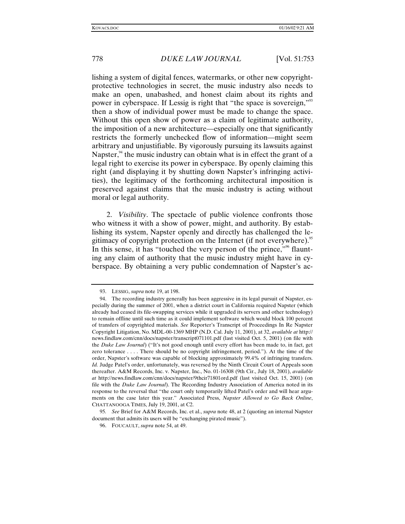lishing a system of digital fences, watermarks, or other new copyrightprotective technologies in secret, the music industry also needs to make an open, unabashed, and honest claim about its rights and power in cyberspace. If Lessig is right that "the space is sovereign,"<sup>33</sup> then a show of individual power must be made to change the space. Without this open show of power as a claim of legitimate authority, the imposition of a new architecture—especially one that significantly restricts the formerly unchecked flow of information—might seem arbitrary and unjustifiable. By vigorously pursuing its lawsuits against Napster, $94$  the music industry can obtain what is in effect the grant of a legal right to exercise its power in cyberspace. By openly claiming this right (and displaying it by shutting down Napster's infringing activities), the legitimacy of the forthcoming architectural imposition is preserved against claims that the music industry is acting without moral or legal authority.

2. *Visibility*. The spectacle of public violence confronts those who witness it with a show of power, might, and authority. By establishing its system, Napster openly and directly has challenged the legitimacy of copyright protection on the Internet (if not everywhere).<sup>95</sup> In this sense, it has "touched the very person of the prince,"<sup>96</sup> flaunting any claim of authority that the music industry might have in cyberspace. By obtaining a very public condemnation of Napster's ac-

<sup>93.</sup> LESSIG, *supra* note 19, at 198.

<sup>94.</sup> The recording industry generally has been aggressive in its legal pursuit of Napster, especially during the summer of 2001, when a district court in California required Napster (which already had ceased its file-swapping services while it upgraded its servers and other technology) to remain offline until such time as it could implement software which would block 100 percent of transfers of copyrighted materials. *See* Reporter's Transcript of Proceedings In Re Napster Copyright Litigation, No. MDL-00-1369 MHP (N.D. Cal. July 11, 2001), at 32, *available at* http:// news.findlaw.com/cnn/docs/napster/transcript071101.pdf (last visited Oct. 5, 2001) (on file with the *Duke Law Journal*) ("It's not good enough until every effort has been made to, in fact, get zero tolerance . . . . There should be no copyright infringement, period."). At the time of the order, Napster's software was capable of blocking approximately 99.4% of infringing transfers. *Id.* Judge Patel's order, unfortunately, was reversed by the Ninth Circuit Court of Appeals soon thereafter. A&M Records, Inc. v. Napster, Inc., No. 01-16308 (9th Cir., July 18, 2001), *available at* http://news.findlaw.com/cnn/docs/napster/9thcir71801ord.pdf (last visited Oct. 15, 2001) (on file with the *Duke Law Journal*). The Recording Industry Association of America noted in its response to the reversal that "the court only temporarily lifted Patel's order and will hear arguments on the case later this year." Associated Press, *Napster Allowed to Go Back Online*, CHATTANOOGA TIMES, July 19, 2001, at C2.

<sup>95</sup>*. See* Brief for A&M Records, Inc. et al., *supra* note 48, at 2 (quoting an internal Napster document that admits its users will be "exchanging pirated music").

<sup>96.</sup> FOUCAULT, *supra* note 54, at 49.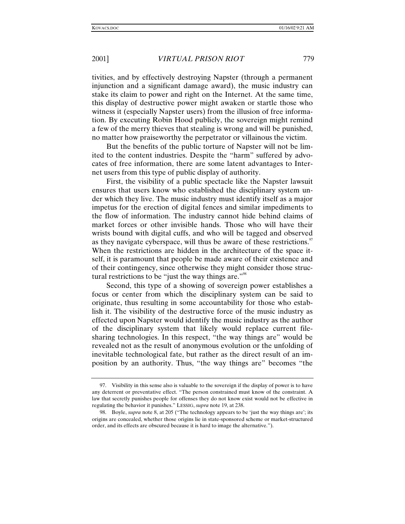tivities, and by effectively destroying Napster (through a permanent injunction and a significant damage award), the music industry can stake its claim to power and right on the Internet. At the same time, this display of destructive power might awaken or startle those who witness it (especially Napster users) from the illusion of free information. By executing Robin Hood publicly, the sovereign might remind a few of the merry thieves that stealing is wrong and will be punished, no matter how praiseworthy the perpetrator or villainous the victim.

But the benefits of the public torture of Napster will not be limited to the content industries. Despite the "harm" suffered by advocates of free information, there are some latent advantages to Internet users from this type of public display of authority.

First, the visibility of a public spectacle like the Napster lawsuit ensures that users know who established the disciplinary system under which they live. The music industry must identify itself as a major impetus for the erection of digital fences and similar impediments to the flow of information. The industry cannot hide behind claims of market forces or other invisible hands. Those who will have their wrists bound with digital cuffs, and who will be tagged and observed as they navigate cyberspace, will thus be aware of these restrictions.<sup>97</sup> When the restrictions are hidden in the architecture of the space itself, it is paramount that people be made aware of their existence and of their contingency, since otherwise they might consider those structural restrictions to be "just the way things are."<sup>98</sup>

Second, this type of a showing of sovereign power establishes a focus or center from which the disciplinary system can be said to originate, thus resulting in some accountability for those who establish it. The visibility of the destructive force of the music industry as effected upon Napster would identify the music industry as the author of the disciplinary system that likely would replace current filesharing technologies. In this respect, "the way things are" would be revealed not as the result of anonymous evolution or the unfolding of inevitable technological fate, but rather as the direct result of an imposition by an authority. Thus, "the way things are" becomes "the

<sup>97.</sup> Visibility in this sense also is valuable to the sovereign if the display of power is to have any deterrent or preventative effect. "The person constrained must know of the constraint. A law that secretly punishes people for offenses they do not know exist would not be effective in regulating the behavior it punishes." LESSIG, *supra* note 19, at 238.

<sup>98.</sup> Boyle, *supra* note 8, at 205 ("The technology appears to be 'just the way things are'; its origins are concealed, whether those origins lie in state-sponsored scheme or market-structured order, and its effects are obscured because it is hard to image the alternative.").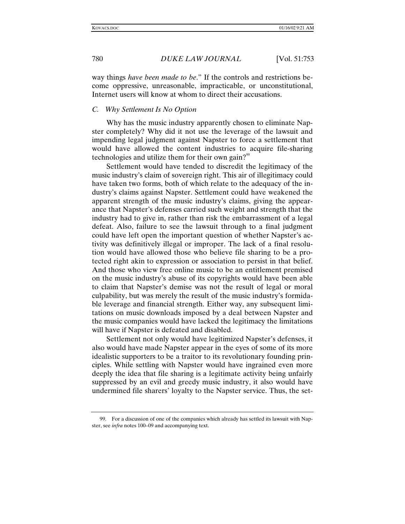way things *have been made to be*." If the controls and restrictions become oppressive, unreasonable, impracticable, or unconstitutional, Internet users will know at whom to direct their accusations.

# *C. Why Settlement Is No Option*

Why has the music industry apparently chosen to eliminate Napster completely? Why did it not use the leverage of the lawsuit and impending legal judgment against Napster to force a settlement that would have allowed the content industries to acquire file-sharing technologies and utilize them for their own gain? $99$ 

Settlement would have tended to discredit the legitimacy of the music industry's claim of sovereign right. This air of illegitimacy could have taken two forms, both of which relate to the adequacy of the industry's claims against Napster. Settlement could have weakened the apparent strength of the music industry's claims, giving the appearance that Napster's defenses carried such weight and strength that the industry had to give in, rather than risk the embarrassment of a legal defeat. Also, failure to see the lawsuit through to a final judgment could have left open the important question of whether Napster's activity was definitively illegal or improper. The lack of a final resolution would have allowed those who believe file sharing to be a protected right akin to expression or association to persist in that belief. And those who view free online music to be an entitlement premised on the music industry's abuse of its copyrights would have been able to claim that Napster's demise was not the result of legal or moral culpability, but was merely the result of the music industry's formidable leverage and financial strength. Either way, any subsequent limitations on music downloads imposed by a deal between Napster and the music companies would have lacked the legitimacy the limitations will have if Napster is defeated and disabled.

Settlement not only would have legitimized Napster's defenses, it also would have made Napster appear in the eyes of some of its more idealistic supporters to be a traitor to its revolutionary founding principles. While settling with Napster would have ingrained even more deeply the idea that file sharing is a legitimate activity being unfairly suppressed by an evil and greedy music industry, it also would have undermined file sharers' loyalty to the Napster service. Thus, the set-

<sup>99.</sup> For a discussion of one of the companies which already has settled its lawsuit with Napster, see *infra* notes 100–09 and accompanying text.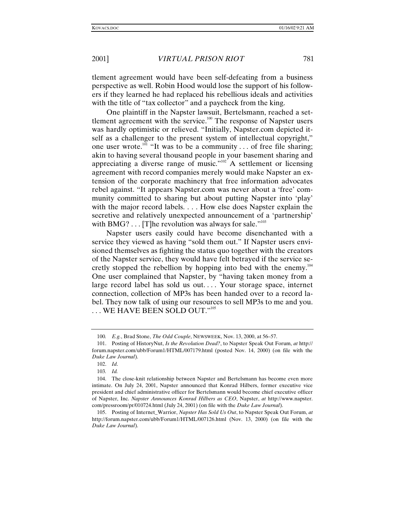tlement agreement would have been self-defeating from a business perspective as well. Robin Hood would lose the support of his followers if they learned he had replaced his rebellious ideals and activities with the title of "tax collector" and a paycheck from the king.

One plaintiff in the Napster lawsuit, Bertelsmann, reached a settlement agreement with the service.<sup>100</sup> The response of Napster users was hardly optimistic or relieved. "Initially, Napster.com depicted itself as a challenger to the present system of intellectual copyright," one user wrote.<sup>101</sup> "It was to be a community . . . of free file sharing; akin to having several thousand people in your basement sharing and appreciating a diverse range of music." $102$  A settlement or licensing agreement with record companies merely would make Napster an extension of the corporate machinery that free information advocates rebel against. "It appears Napster.com was never about a 'free' community committed to sharing but about putting Napster into 'play' with the major record labels. . . . How else does Napster explain the secretive and relatively unexpected announcement of a 'partnership' with BMG?  $\dots$  [T]he revolution was always for sale."<sup>103</sup>

Napster users easily could have become disenchanted with a service they viewed as having "sold them out." If Napster users envisioned themselves as fighting the status quo together with the creators of the Napster service, they would have felt betrayed if the service secretly stopped the rebellion by hopping into bed with the enemy.<sup>104</sup> One user complained that Napster, by "having taken money from a large record label has sold us out. . . . Your storage space, internet connection, collection of MP3s has been handed over to a record label. They now talk of using our resources to sell MP3s to me and you.  $\dots$  WE HAVE BEEN SOLD OUT." $^{105}$ 

<sup>100</sup>*. E.g.*, Brad Stone, *The Odd Couple*, NEWSWEEK, Nov. 13, 2000, at 56–57.

<sup>101.</sup> Posting of HistoryNut, *Is the Revolution Dead?*, to Napster Speak Out Forum, *at* http:// forum.napster.com/ubb/Forum1/HTML/007179.html (posted Nov. 14, 2000) (on file with the *Duke Law Journal*).

<sup>102.</sup> *Id*.

<sup>103</sup>*. Id.*

<sup>104.</sup> The close-knit relationship between Napster and Bertelsmann has become even more intimate. On July 24, 2001, Napster announced that Konrad Hilbers, former executive vice president and chief administrative officer for Bertelsmann would become chief executive officer of Napster, Inc. *Napster Announces Konrad Hilbers as CEO*, Napster, *at* http://www.napster. com/pressroom/pr/010724.html (July 24, 2001) (on file with the *Duke Law Journal*).

<sup>105.</sup> Posting of Internet\_Warrior, *Napster Has Sold Us Out*, to Napster Speak Out Forum, *at* http://forum.napster.com/ubb/Forum1/HTML/007126.html (Nov. 13, 2000) (on file with the *Duke Law Journal*).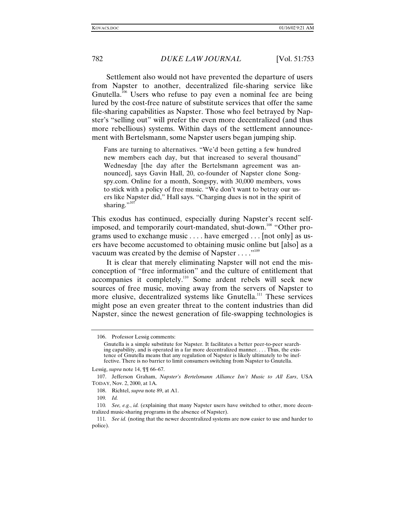Settlement also would not have prevented the departure of users from Napster to another, decentralized file-sharing service like Gnutella.<sup>106</sup> Users who refuse to pay even a nominal fee are being lured by the cost-free nature of substitute services that offer the same file-sharing capabilities as Napster. Those who feel betrayed by Napster's "selling out" will prefer the even more decentralized (and thus more rebellious) systems. Within days of the settlement announcement with Bertelsmann, some Napster users began jumping ship.

Fans are turning to alternatives. "We'd been getting a few hundred new members each day, but that increased to several thousand" Wednesday [the day after the Bertelsmann agreement was announced], says Gavin Hall, 20, co-founder of Napster clone Songspy.com. Online for a month, Songspy, with 30,000 members, vows to stick with a policy of free music. "We don't want to betray our users like Napster did," Hall says. "Charging dues is not in the spirit of sharing."<sup>107</sup>

This exodus has continued, especially during Napster's recent selfimposed, and temporarily court-mandated, shut-down.<sup>108</sup> "Other programs used to exchange music . . . . have emerged . . . [not only] as users have become accustomed to obtaining music online but [also] as a vacuum was created by the demise of Napster  $\dots$ ."<sup>109</sup>

It is clear that merely eliminating Napster will not end the misconception of "free information" and the culture of entitlement that accompanies it completely.<sup>110</sup> Some ardent rebels will seek new sources of free music, moving away from the servers of Napster to more elusive, decentralized systems like Gnutella.<sup>111</sup> These services might pose an even greater threat to the content industries than did Napster, since the newest generation of file-swapping technologies is

Lessig, *supra* note 14, ¶¶ 66–67.

109*. Id.*

<sup>106.</sup> Professor Lessig comments:

Gnutella is a simple substitute for Napster. It facilitates a better peer-to-peer searching capability, and is operated in a far more decentralized manner. . . . Thus, the existence of Gnutella means that any regulation of Napster is likely ultimately to be ineffective. There is no barrier to limit consumers switching from Napster to Gnutella.

<sup>107.</sup> Jefferson Graham, *Napster's Bertelsmann Alliance Isn't Music to All Ears*, USA TODAY, Nov. 2, 2000, at 1A.

<sup>108.</sup> Richtel, *supra* note 89, at A1.

<sup>110</sup>*. See, e.g.*, *id.* (explaining that many Napster users have switched to other, more decentralized music-sharing programs in the absence of Napster).

<sup>111</sup>*. See id.* (noting that the newer decentralized systems are now easier to use and harder to police).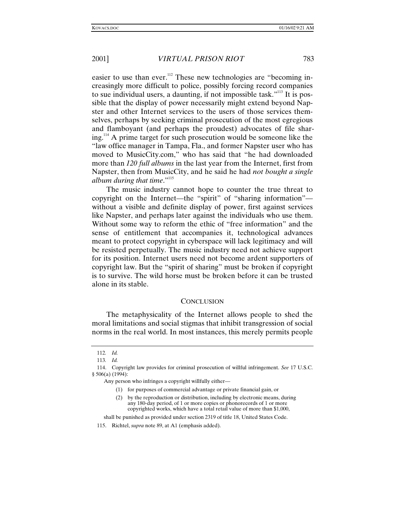easier to use than ever.<sup>112</sup> These new technologies are "becoming increasingly more difficult to police, possibly forcing record companies to sue individual users, a daunting, if not impossible task."<sup>113</sup> It is possible that the display of power necessarily might extend beyond Napster and other Internet services to the users of those services themselves, perhaps by seeking criminal prosecution of the most egregious and flamboyant (and perhaps the proudest) advocates of file sharing.114 A prime target for such prosecution would be someone like the "law office manager in Tampa, Fla., and former Napster user who has moved to MusicCity.com," who has said that "he had downloaded more than *120 full albums* in the last year from the Internet, first from Napster, then from MusicCity, and he said he had *not bought a single album during that time*." 115

The music industry cannot hope to counter the true threat to copyright on the Internet—the "spirit" of "sharing information" without a visible and definite display of power, first against services like Napster, and perhaps later against the individuals who use them. Without some way to reform the ethic of "free information" and the sense of entitlement that accompanies it, technological advances meant to protect copyright in cyberspace will lack legitimacy and will be resisted perpetually. The music industry need not achieve support for its position. Internet users need not become ardent supporters of copyright law. But the "spirit of sharing" must be broken if copyright is to survive. The wild horse must be broken before it can be trusted alone in its stable.

# **CONCLUSION**

The metaphysicality of the Internet allows people to shed the moral limitations and social stigmas that inhibit transgression of social norms in the real world. In most instances, this merely permits people

- (1) for purposes of commercial advantage or private financial gain, or
- (2) by the reproduction or distribution, including by electronic means, during any 180-day period, of 1 or more copies or phonorecords of 1 or more copyrighted works, which have a total retail value of more than \$1,000,

shall be punished as provided under section 2319 of title 18, United States Code.

115. Richtel, *supra* note 89, at A1 (emphasis added).

<sup>112</sup>*. Id.*

<sup>113</sup>*. Id.*

<sup>114.</sup> Copyright law provides for criminal prosecution of willful infringement. *See* 17 U.S.C. § 506(a) (1994):

Any person who infringes a copyright willfully either—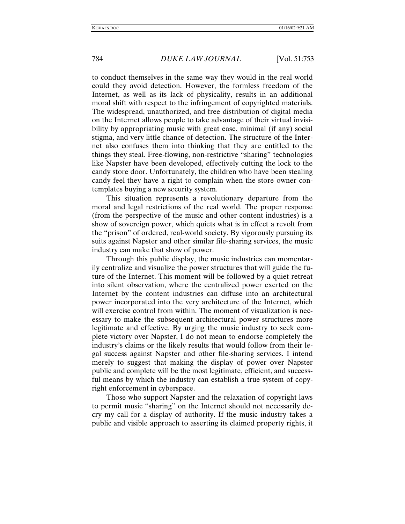to conduct themselves in the same way they would in the real world could they avoid detection. However, the formless freedom of the Internet, as well as its lack of physicality, results in an additional moral shift with respect to the infringement of copyrighted materials. The widespread, unauthorized, and free distribution of digital media on the Internet allows people to take advantage of their virtual invisibility by appropriating music with great ease, minimal (if any) social stigma, and very little chance of detection. The structure of the Internet also confuses them into thinking that they are entitled to the things they steal. Free-flowing, non-restrictive "sharing" technologies like Napster have been developed, effectively cutting the lock to the candy store door. Unfortunately, the children who have been stealing candy feel they have a right to complain when the store owner contemplates buying a new security system.

This situation represents a revolutionary departure from the moral and legal restrictions of the real world. The proper response (from the perspective of the music and other content industries) is a show of sovereign power, which quiets what is in effect a revolt from the "prison" of ordered, real-world society. By vigorously pursuing its suits against Napster and other similar file-sharing services, the music industry can make that show of power.

Through this public display, the music industries can momentarily centralize and visualize the power structures that will guide the future of the Internet. This moment will be followed by a quiet retreat into silent observation, where the centralized power exerted on the Internet by the content industries can diffuse into an architectural power incorporated into the very architecture of the Internet, which will exercise control from within. The moment of visualization is necessary to make the subsequent architectural power structures more legitimate and effective. By urging the music industry to seek complete victory over Napster, I do not mean to endorse completely the industry's claims or the likely results that would follow from their legal success against Napster and other file-sharing services. I intend merely to suggest that making the display of power over Napster public and complete will be the most legitimate, efficient, and successful means by which the industry can establish a true system of copyright enforcement in cyberspace.

Those who support Napster and the relaxation of copyright laws to permit music "sharing" on the Internet should not necessarily decry my call for a display of authority. If the music industry takes a public and visible approach to asserting its claimed property rights, it